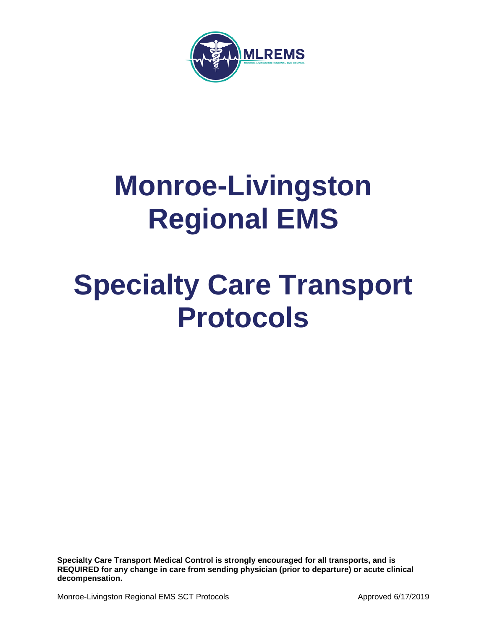

# **Monroe-Livingston Regional EMS**

# **Specialty Care Transport Protocols**

**Specialty Care Transport Medical Control is strongly encouraged for all transports, and is REQUIRED for any change in care from sending physician (prior to departure) or acute clinical decompensation.**

Monroe-Livingston Regional EMS SCT Protocols **Approved 6/17/2019** Approved 6/17/2019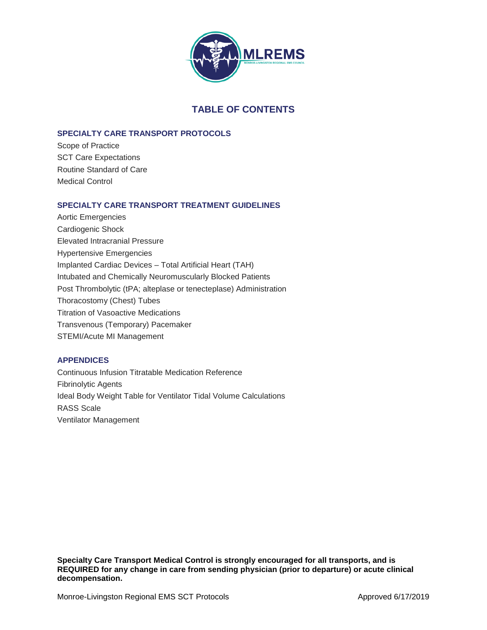

# **TABLE OF CONTENTS**

# **SPECIALTY CARE TRANSPORT PROTOCOLS**

Scope of Practice SCT Care Expectations Routine Standard of Care Medical Control

# **SPECIALTY CARE TRANSPORT TREATMENT GUIDELINES**

Aortic Emergencies Cardiogenic Shock Elevated Intracranial Pressure Hypertensive Emergencies Implanted Cardiac Devices – Total Artificial Heart (TAH) Intubated and Chemically Neuromuscularly Blocked Patients Post Thrombolytic (tPA; alteplase or tenecteplase) Administration Thoracostomy (Chest) Tubes Titration of Vasoactive Medications Transvenous (Temporary) Pacemaker STEMI/Acute MI Management

# **APPENDICES**

Continuous Infusion Titratable Medication Reference Fibrinolytic Agents Ideal Body Weight Table for Ventilator Tidal Volume Calculations RASS Scale Ventilator Management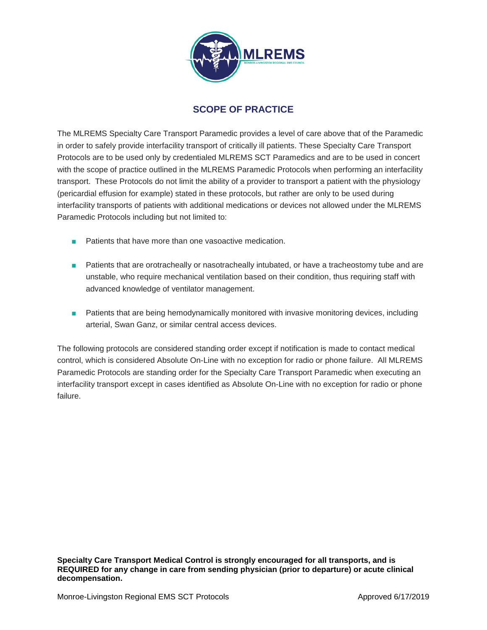

# **SCOPE OF PRACTICE**

The MLREMS Specialty Care Transport Paramedic provides a level of care above that of the Paramedic in order to safely provide interfacility transport of critically ill patients. These Specialty Care Transport Protocols are to be used only by credentialed MLREMS SCT Paramedics and are to be used in concert with the scope of practice outlined in the MLREMS Paramedic Protocols when performing an interfacility transport. These Protocols do not limit the ability of a provider to transport a patient with the physiology (pericardial effusion for example) stated in these protocols, but rather are only to be used during interfacility transports of patients with additional medications or devices not allowed under the MLREMS Paramedic Protocols including but not limited to:

- Patients that have more than one vasoactive medication.
- Patients that are orotracheally or nasotracheally intubated, or have a tracheostomy tube and are unstable, who require mechanical ventilation based on their condition, thus requiring staff with advanced knowledge of ventilator management.
- Patients that are being hemodynamically monitored with invasive monitoring devices, including arterial, Swan Ganz, or similar central access devices.

The following protocols are considered standing order except if notification is made to contact medical control, which is considered Absolute On-Line with no exception for radio or phone failure. All MLREMS Paramedic Protocols are standing order for the Specialty Care Transport Paramedic when executing an interfacility transport except in cases identified as Absolute On-Line with no exception for radio or phone failure.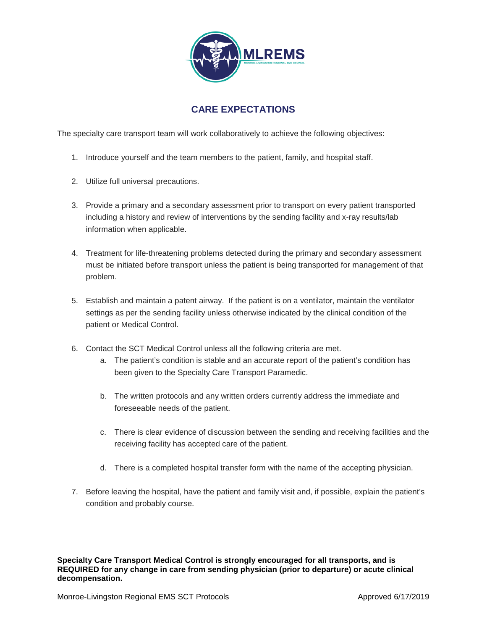

# **CARE EXPECTATIONS**

The specialty care transport team will work collaboratively to achieve the following objectives:

- 1. Introduce yourself and the team members to the patient, family, and hospital staff.
- 2. Utilize full universal precautions.
- 3. Provide a primary and a secondary assessment prior to transport on every patient transported including a history and review of interventions by the sending facility and x-ray results/lab information when applicable.
- 4. Treatment for life-threatening problems detected during the primary and secondary assessment must be initiated before transport unless the patient is being transported for management of that problem.
- 5. Establish and maintain a patent airway. If the patient is on a ventilator, maintain the ventilator settings as per the sending facility unless otherwise indicated by the clinical condition of the patient or Medical Control.
- 6. Contact the SCT Medical Control unless all the following criteria are met.
	- a. The patient's condition is stable and an accurate report of the patient's condition has been given to the Specialty Care Transport Paramedic.
	- b. The written protocols and any written orders currently address the immediate and foreseeable needs of the patient.
	- c. There is clear evidence of discussion between the sending and receiving facilities and the receiving facility has accepted care of the patient.
	- d. There is a completed hospital transfer form with the name of the accepting physician.
- 7. Before leaving the hospital, have the patient and family visit and, if possible, explain the patient's condition and probably course.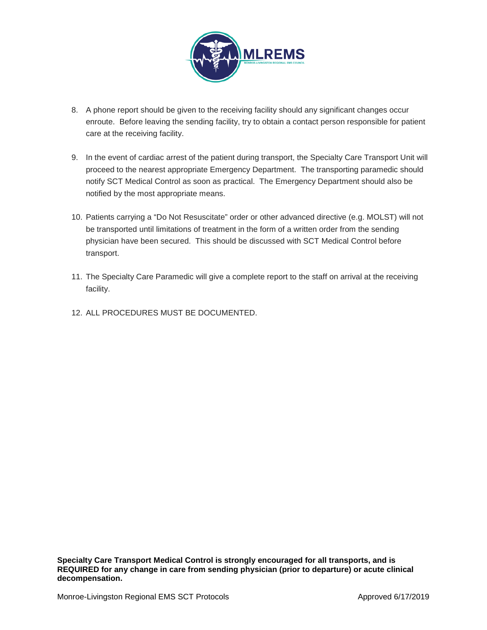

- 8. A phone report should be given to the receiving facility should any significant changes occur enroute. Before leaving the sending facility, try to obtain a contact person responsible for patient care at the receiving facility.
- 9. In the event of cardiac arrest of the patient during transport, the Specialty Care Transport Unit will proceed to the nearest appropriate Emergency Department. The transporting paramedic should notify SCT Medical Control as soon as practical. The Emergency Department should also be notified by the most appropriate means.
- 10. Patients carrying a "Do Not Resuscitate" order or other advanced directive (e.g. MOLST) will not be transported until limitations of treatment in the form of a written order from the sending physician have been secured. This should be discussed with SCT Medical Control before transport.
- 11. The Specialty Care Paramedic will give a complete report to the staff on arrival at the receiving facility.
- 12. ALL PROCEDURES MUST BE DOCUMENTED.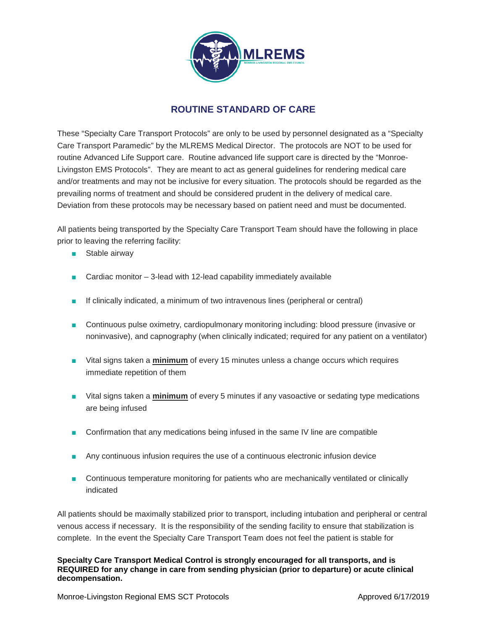

# **ROUTINE STANDARD OF CARE**

These "Specialty Care Transport Protocols" are only to be used by personnel designated as a "Specialty Care Transport Paramedic" by the MLREMS Medical Director. The protocols are NOT to be used for routine Advanced Life Support care. Routine advanced life support care is directed by the "Monroe-Livingston EMS Protocols". They are meant to act as general guidelines for rendering medical care and/or treatments and may not be inclusive for every situation. The protocols should be regarded as the prevailing norms of treatment and should be considered prudent in the delivery of medical care. Deviation from these protocols may be necessary based on patient need and must be documented.

All patients being transported by the Specialty Care Transport Team should have the following in place prior to leaving the referring facility:

- Stable airway
- Cardiac monitor  $-$  3-lead with 12-lead capability immediately available
- If clinically indicated, a minimum of two intravenous lines (peripheral or central)
- Continuous pulse oximetry, cardiopulmonary monitoring including: blood pressure (invasive or noninvasive), and capnography (when clinically indicated; required for any patient on a ventilator)
- Vital signs taken a **minimum** of every 15 minutes unless a change occurs which requires immediate repetition of them
- Vital signs taken a **minimum** of every 5 minutes if any vasoactive or sedating type medications are being infused
- Confirmation that any medications being infused in the same IV line are compatible
- Any continuous infusion requires the use of a continuous electronic infusion device
- Continuous temperature monitoring for patients who are mechanically ventilated or clinically indicated

All patients should be maximally stabilized prior to transport, including intubation and peripheral or central venous access if necessary. It is the responsibility of the sending facility to ensure that stabilization is complete. In the event the Specialty Care Transport Team does not feel the patient is stable for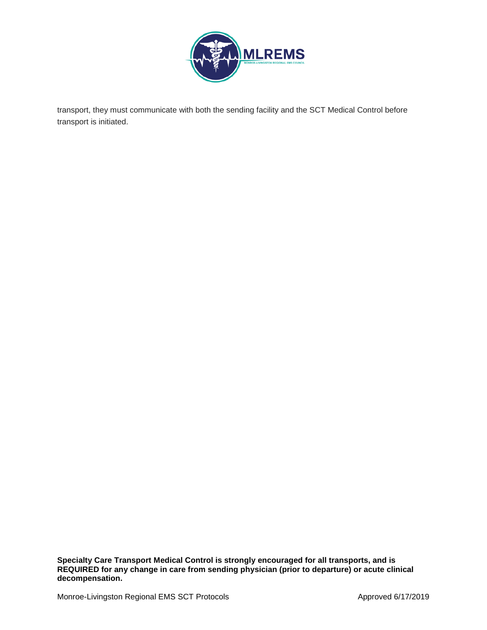

transport, they must communicate with both the sending facility and the SCT Medical Control before transport is initiated.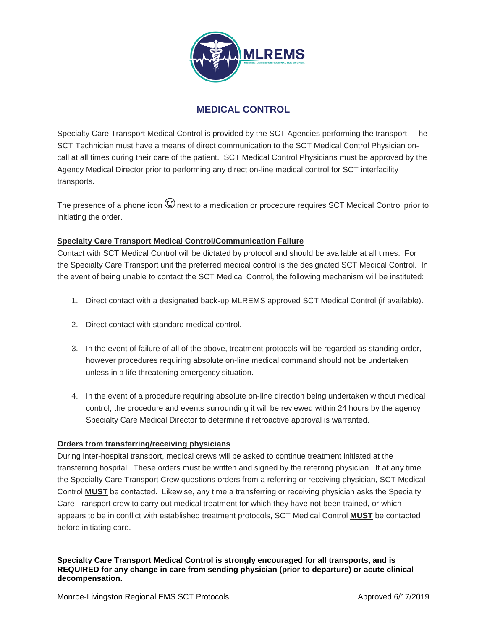

# **MEDICAL CONTROL**

Specialty Care Transport Medical Control is provided by the SCT Agencies performing the transport. The SCT Technician must have a means of direct communication to the SCT Medical Control Physician oncall at all times during their care of the patient. SCT Medical Control Physicians must be approved by the Agency Medical Director prior to performing any direct on-line medical control for SCT interfacility transports.

The presence of a phone icon  $\mathbb{C}$  next to a medication or procedure requires SCT Medical Control prior to initiating the order.

# **Specialty Care Transport Medical Control/Communication Failure**

Contact with SCT Medical Control will be dictated by protocol and should be available at all times. For the Specialty Care Transport unit the preferred medical control is the designated SCT Medical Control. In the event of being unable to contact the SCT Medical Control, the following mechanism will be instituted:

- 1. Direct contact with a designated back-up MLREMS approved SCT Medical Control (if available).
- 2. Direct contact with standard medical control.
- 3. In the event of failure of all of the above, treatment protocols will be regarded as standing order, however procedures requiring absolute on-line medical command should not be undertaken unless in a life threatening emergency situation.
- 4. In the event of a procedure requiring absolute on-line direction being undertaken without medical control, the procedure and events surrounding it will be reviewed within 24 hours by the agency Specialty Care Medical Director to determine if retroactive approval is warranted.

# **Orders from transferring/receiving physicians**

During inter-hospital transport, medical crews will be asked to continue treatment initiated at the transferring hospital. These orders must be written and signed by the referring physician. If at any time the Specialty Care Transport Crew questions orders from a referring or receiving physician, SCT Medical Control **MUST** be contacted. Likewise, any time a transferring or receiving physician asks the Specialty Care Transport crew to carry out medical treatment for which they have not been trained, or which appears to be in conflict with established treatment protocols, SCT Medical Control **MUST** be contacted before initiating care.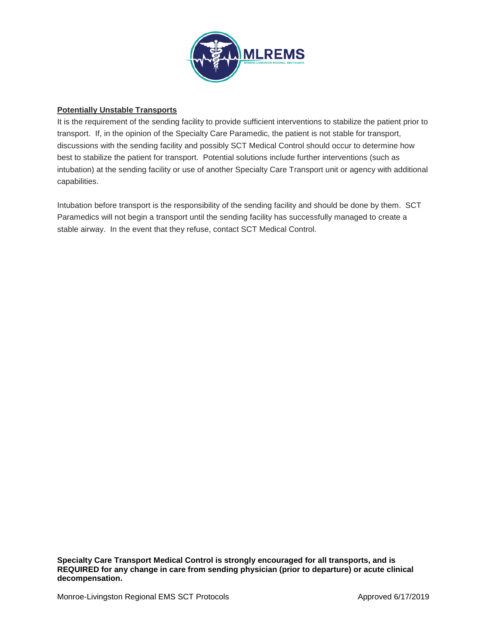

# **Potentially Unstable Transports**

It is the requirement of the sending facility to provide sufficient interventions to stabilize the patient prior to transport. If, in the opinion of the Specialty Care Paramedic, the patient is not stable for transport, discussions with the sending facility and possibly SCT Medical Control should occur to determine how best to stabilize the patient for transport. Potential solutions include further interventions (such as intubation) at the sending facility or use of another Specialty Care Transport unit or agency with additional capabilities.

Intubation before transport is the responsibility of the sending facility and should be done by them. SCT Paramedics will not begin a transport until the sending facility has successfully managed to create a stable airway. In the event that they refuse, contact SCT Medical Control.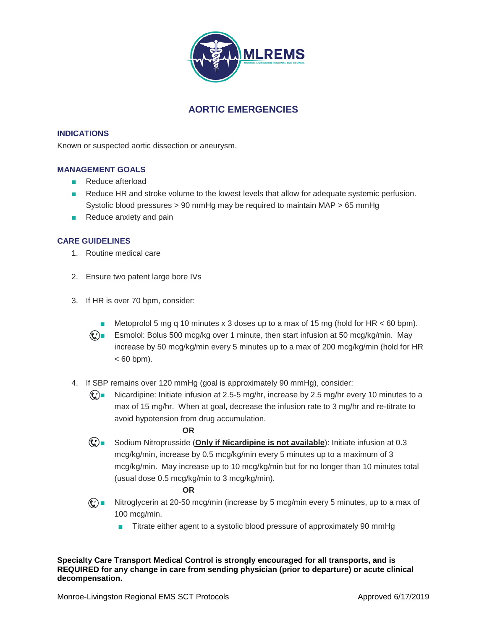

# **AORTIC EMERGENCIES**

## **INDICATIONS**

Known or suspected aortic dissection or aneurysm.

### **MANAGEMENT GOALS**

- Reduce afterload
- Reduce HR and stroke volume to the lowest levels that allow for adequate systemic perfusion. Systolic blood pressures > 90 mmHg may be required to maintain MAP > 65 mmHg
- Reduce anxiety and pain

## **CARE GUIDELINES**

- 1. Routine medical care
- 2. Ensure two patent large bore IVs
- 3. If HR is over 70 bpm, consider:
	- **■** Metoprolol 5 mg q 10 minutes x 3 doses up to a max of 15 mg (hold for HR  $<$  60 bpm).
	- $\mathbb{C}$  Esmolol: Bolus 500 mcg/kg over 1 minute, then start infusion at 50 mcg/kg/min. May increase by 50 mcg/kg/min every 5 minutes up to a max of 200 mcg/kg/min (hold for HR  $< 60$  bpm).
- 4. If SBP remains over 120 mmHg (goal is approximately 90 mmHg), consider:

 $\mathbb{C}$  Micardipine: Initiate infusion at 2.5-5 mg/hr, increase by 2.5 mg/hr every 10 minutes to a max of 15 mg/hr. When at goal, decrease the infusion rate to 3 mg/hr and re-titrate to avoid hypotension from drug accumulation.

#### **OR**

■ Sodium Nitroprusside (**Only if Nicardipine is not available**): Initiate infusion at 0.3 mcg/kg/min, increase by 0.5 mcg/kg/min every 5 minutes up to a maximum of 3 mcg/kg/min. May increase up to 10 mcg/kg/min but for no longer than 10 minutes total (usual dose 0.5 mcg/kg/min to 3 mcg/kg/min).

#### **OR**

- Nitroglycerin at 20-50 mcg/min (increase by 5 mcg/min every 5 minutes, up to a max of 100 mcg/min.
	- Titrate either agent to a systolic blood pressure of approximately 90 mmHg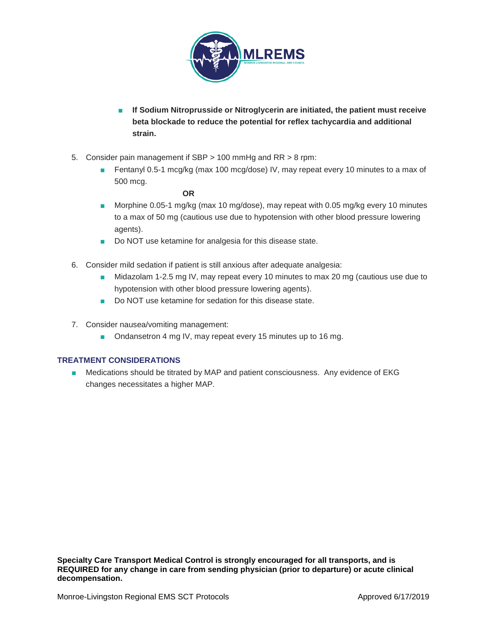

- **If Sodium Nitroprusside or Nitroglycerin are initiated, the patient must receive beta blockade to reduce the potential for reflex tachycardia and additional strain.**
- 5. Consider pain management if SBP > 100 mmHg and RR > 8 rpm:
	- Fentanyl 0.5-1 mcg/kg (max 100 mcg/dose) IV, may repeat every 10 minutes to a max of 500 mcg.

**OR**

- Morphine 0.05-1 mg/kg (max 10 mg/dose), may repeat with 0.05 mg/kg every 10 minutes to a max of 50 mg (cautious use due to hypotension with other blood pressure lowering agents).
- Do NOT use ketamine for analgesia for this disease state.
- 6. Consider mild sedation if patient is still anxious after adequate analgesia:
	- Midazolam 1-2.5 mg IV, may repeat every 10 minutes to max 20 mg (cautious use due to hypotension with other blood pressure lowering agents).
	- Do NOT use ketamine for sedation for this disease state.
- 7. Consider nausea/vomiting management:
	- Ondansetron 4 mg IV, may repeat every 15 minutes up to 16 mg.

# **TREATMENT CONSIDERATIONS**

■ Medications should be titrated by MAP and patient consciousness. Any evidence of EKG changes necessitates a higher MAP.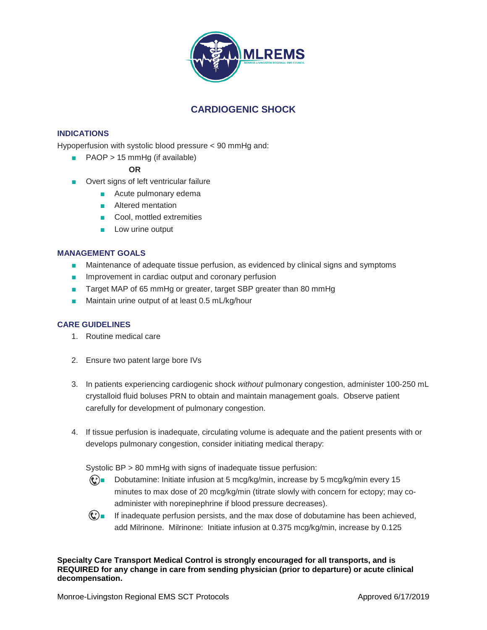

# **CARDIOGENIC SHOCK**

# **INDICATIONS**

Hypoperfusion with systolic blood pressure < 90 mmHg and:

■ PAOP > 15 mmHg (if available)

**OR**

- Overt signs of left ventricular failure
	- Acute pulmonary edema
	- Altered mentation
	- Cool, mottled extremities
	- Low urine output

# **MANAGEMENT GOALS**

- Maintenance of adequate tissue perfusion, as evidenced by clinical signs and symptoms
- Improvement in cardiac output and coronary perfusion
- Target MAP of 65 mmHg or greater, target SBP greater than 80 mmHg
- Maintain urine output of at least 0.5 mL/kg/hour

# **CARE GUIDELINES**

- 1. Routine medical care
- 2. Ensure two patent large bore IVs
- 3. In patients experiencing cardiogenic shock *without* pulmonary congestion, administer 100-250 mL crystalloid fluid boluses PRN to obtain and maintain management goals. Observe patient carefully for development of pulmonary congestion.
- 4. If tissue perfusion is inadequate, circulating volume is adequate and the patient presents with or develops pulmonary congestion, consider initiating medical therapy:

Systolic BP > 80 mmHg with signs of inadequate tissue perfusion:

- $\mathbb{C}$  Dobutamine: Initiate infusion at 5 mcg/kg/min, increase by 5 mcg/kg/min every 15 minutes to max dose of 20 mcg/kg/min (titrate slowly with concern for ectopy; may coadminister with norepinephrine if blood pressure decreases).
- $\mathbb{C}$  If inadequate perfusion persists, and the max dose of dobutamine has been achieved, add Milrinone. Milrinone: Initiate infusion at 0.375 mcg/kg/min, increase by 0.125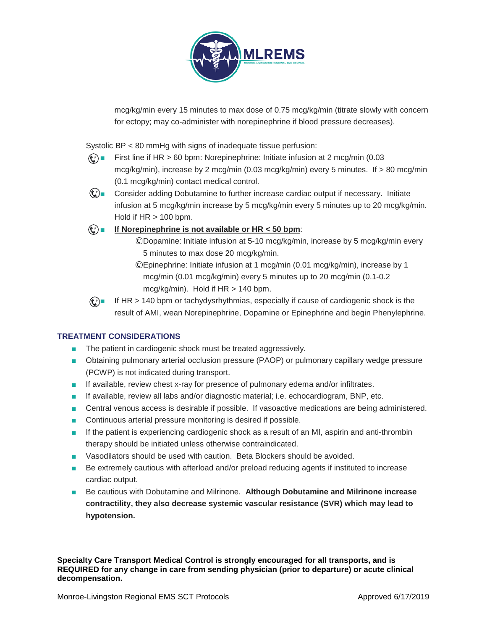

mcg/kg/min every 15 minutes to max dose of 0.75 mcg/kg/min (titrate slowly with concern for ectopy; may co-administer with norepinephrine if blood pressure decreases).

Systolic BP < 80 mmHg with signs of inadequate tissue perfusion:

- $\odot$  First line if HR > 60 bpm: Norepinephrine: Initiate infusion at 2 mcg/min (0.03 mcg/kg/min), increase by 2 mcg/min (0.03 mcg/kg/min) every 5 minutes. If > 80 mcg/min (0.1 mcg/kg/min) contact medical control.
- $\mathbb{C}$  Consider adding Dobutamine to further increase cardiac output if necessary. Initiate infusion at 5 mcg/kg/min increase by 5 mcg/kg/min every 5 minutes up to 20 mcg/kg/min. Hold if  $HR > 100$  bpm.

# ■ **If Norepinephrine is not available or HR < 50 bpm**:

- Dopamine: Initiate infusion at 5-10 mcg/kg/min, increase by 5 mcg/kg/min every 5 minutes to max dose 20 mcg/kg/min.
- Epinephrine: Initiate infusion at 1 mcg/min (0.01 mcg/kg/min), increase by 1 mcg/min (0.01 mcg/kg/min) every 5 minutes up to 20 mcg/min (0.1-0.2 mcg/kg/min). Hold if HR > 140 bpm.

 $\mathbb{C}$  If HR > 140 bpm or tachydysrhythmias, especially if cause of cardiogenic shock is the result of AMI, wean Norepinephrine, Dopamine or Epinephrine and begin Phenylephrine.

# **TREATMENT CONSIDERATIONS**

- The patient in cardiogenic shock must be treated aggressively.
- Obtaining pulmonary arterial occlusion pressure (PAOP) or pulmonary capillary wedge pressure (PCWP) is not indicated during transport.
- If available, review chest x-ray for presence of pulmonary edema and/or infiltrates.
- If available, review all labs and/or diagnostic material; i.e. echocardiogram, BNP, etc.
- Central venous access is desirable if possible. If vasoactive medications are being administered.
- Continuous arterial pressure monitoring is desired if possible.
- If the patient is experiencing cardiogenic shock as a result of an MI, aspirin and anti-thrombin therapy should be initiated unless otherwise contraindicated.
- Vasodilators should be used with caution. Beta Blockers should be avoided.
- Be extremely cautious with afterload and/or preload reducing agents if instituted to increase cardiac output.
- Be cautious with Dobutamine and Milrinone. Although Dobutamine and Milrinone increase **contractility, they also decrease systemic vascular resistance (SVR) which may lead to hypotension.**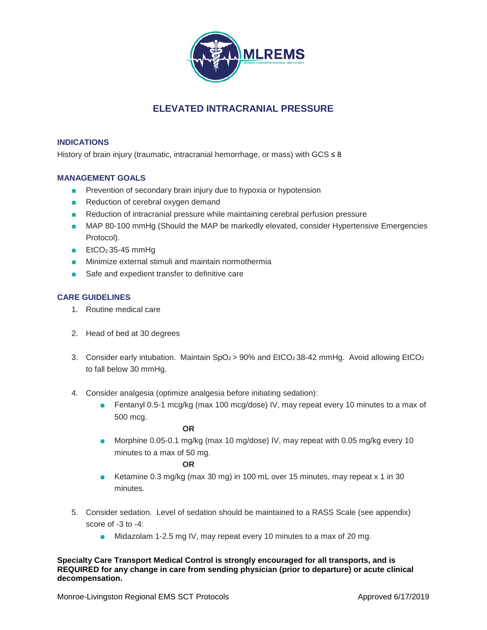

# **ELEVATED INTRACRANIAL PRESSURE**

# **INDICATIONS**

History of brain injury (traumatic, intracranial hemorrhage, or mass) with GCS  $\leq 8$ 

# **MANAGEMENT GOALS**

- Prevention of secondary brain injury due to hypoxia or hypotension
- Reduction of cerebral oxygen demand
- Reduction of intracranial pressure while maintaining cerebral perfusion pressure
- MAP 80-100 mmHg (Should the MAP be markedly elevated, consider Hypertensive Emergencies Protocol).
- EtCO<sub>2</sub> 35-45 mmHq
- Minimize external stimuli and maintain normothermia
- Safe and expedient transfer to definitive care

# **CARE GUIDELINES**

- 1. Routine medical care
- 2. Head of bed at 30 degrees
- 3. Consider early intubation. Maintain  $SpO<sub>2</sub> > 90%$  and  $EtCO<sub>2</sub>$  38-42 mmHg. Avoid allowing EtCO<sub>2</sub> to fall below 30 mmHg.
- 4. Consider analgesia (optimize analgesia before initiating sedation):
	- Fentanyl 0.5-1 mcg/kg (max 100 mcg/dose) IV, may repeat every 10 minutes to a max of 500 mcg.

### **OR**

■ Morphine 0.05-0.1 mg/kg (max 10 mg/dose) IV, may repeat with 0.05 mg/kg every 10 minutes to a max of 50 mg.

# **OR**

- Ketamine 0.3 mg/kg (max 30 mg) in 100 mL over 15 minutes, may repeat x 1 in 30 minutes.
- 5. Consider sedation. Level of sedation should be maintained to a RASS Scale (see appendix) score of -3 to -4:
	- Midazolam 1-2.5 mg IV, may repeat every 10 minutes to a max of 20 mg.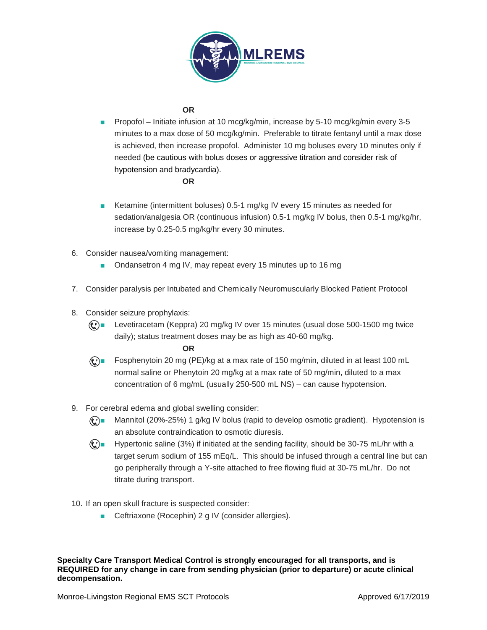

# **OR**

■ Propofol – Initiate infusion at 10 mcg/kg/min, increase by 5-10 mcg/kg/min every 3-5 minutes to a max dose of 50 mcg/kg/min. Preferable to titrate fentanyl until a max dose is achieved, then increase propofol. Administer 10 mg boluses every 10 minutes only if needed (be cautious with bolus doses or aggressive titration and consider risk of hypotension and bradycardia).

### **OR**

- Ketamine (intermittent boluses) 0.5-1 mg/kg IV every 15 minutes as needed for sedation/analgesia OR (continuous infusion) 0.5-1 mg/kg IV bolus, then 0.5-1 mg/kg/hr, increase by 0.25-0.5 mg/kg/hr every 30 minutes.
- 6. Consider nausea/vomiting management:
	- Ondansetron 4 mg IV, may repeat every 15 minutes up to 16 mg
- 7. Consider paralysis per Intubated and Chemically Neuromuscularly Blocked Patient Protocol
- 8. Consider seizure prophylaxis:
	- $\odot$  Levetiracetam (Keppra) 20 mg/kg IV over 15 minutes (usual dose 500-1500 mg twice daily); status treatment doses may be as high as 40-60 mg/kg.

**OR**

 $\binom{6}{2}$  Fosphenytoin 20 mg (PE)/kg at a max rate of 150 mg/min, diluted in at least 100 mL normal saline or Phenytoin 20 mg/kg at a max rate of 50 mg/min, diluted to a max concentration of 6 mg/mL (usually 250-500 mL NS) – can cause hypotension.

# 9. For cerebral edema and global swelling consider:

- $\mathbb{C}$  Mannitol (20%-25%) 1 g/kg IV bolus (rapid to develop osmotic gradient). Hypotension is an absolute contraindication to osmotic diuresis.
- $\mathbb{C}$  = Hypertonic saline (3%) if initiated at the sending facility, should be 30-75 mL/hr with a target serum sodium of 155 mEq/L. This should be infused through a central line but can go peripherally through a Y-site attached to free flowing fluid at 30-75 mL/hr. Do not titrate during transport.

# 10. If an open skull fracture is suspected consider:

■ Ceftriaxone (Rocephin) 2 g IV (consider allergies).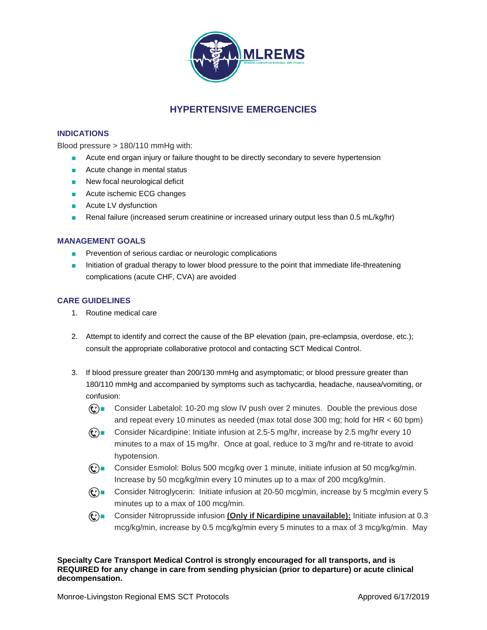

# **HYPERTENSIVE EMERGENCIES**

## **INDICATIONS**

Blood pressure > 180/110 mmHg with:

- Acute end organ injury or failure thought to be directly secondary to severe hypertension
- Acute change in mental status
- New focal neurological deficit
- Acute ischemic ECG changes
- Acute LV dysfunction
- Renal failure (increased serum creatinine or increased urinary output less than 0.5 mL/kg/hr)

## **MANAGEMENT GOALS**

- Prevention of serious cardiac or neurologic complications
- Initiation of gradual therapy to lower blood pressure to the point that immediate life-threatening complications (acute CHF, CVA) are avoided

## **CARE GUIDELINES**

- 1. Routine medical care
- 2. Attempt to identify and correct the cause of the BP elevation (pain, pre-eclampsia, overdose, etc.); consult the appropriate collaborative protocol and contacting SCT Medical Control.
- 3. If blood pressure greater than 200/130 mmHg and asymptomatic; or blood pressure greater than 180/110 mmHg and accompanied by symptoms such as tachycardia, headache, nausea/vomiting, or confusion:
	- **①■** Consider Labetalol: 10-20 mg slow IV push over 2 minutes. Double the previous dose and repeat every 10 minutes as needed (max total dose 300 mg; hold for HR < 60 bpm)
	- **(c)** Consider Nicardipine: Initiate infusion at 2.5-5 mg/hr, increase by 2.5 mg/hr every 10 minutes to a max of 15 mg/hr. Once at goal, reduce to 3 mg/hr and re-titrate to avoid hypotension.
	- $\mathbb{C}$  Consider Esmolol: Bolus 500 mcg/kg over 1 minute, initiate infusion at 50 mcg/kg/min. Increase by 50 mcg/kg/min every 10 minutes up to a max of 200 mcg/kg/min.
	- © Consider Nitroglycerin: Initiate infusion at 20-50 mcg/min, increase by 5 mcg/min every 5 minutes up to a max of 100 mcg/min.
	- **(** $\bf{C}$ ) Consider Nitroprusside infusion (**Only if Nicardipine unavailable**): Initiate infusion at 0.3 mcg/kg/min, increase by 0.5 mcg/kg/min every 5 minutes to a max of 3 mcg/kg/min. May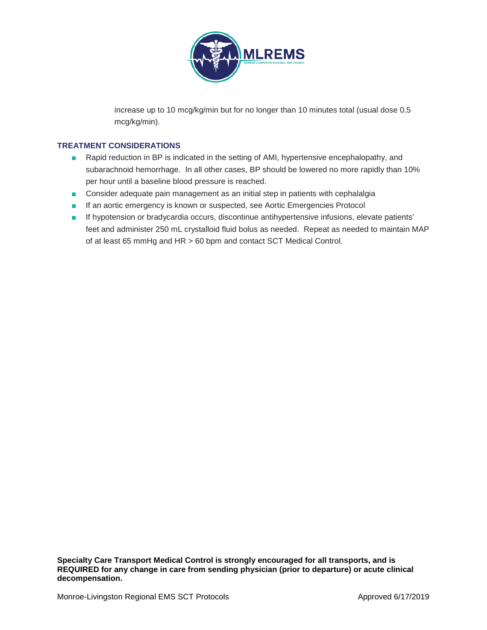

increase up to 10 mcg/kg/min but for no longer than 10 minutes total (usual dose 0.5 mcg/kg/min).

# **TREATMENT CONSIDERATIONS**

- Rapid reduction in BP is indicated in the setting of AMI, hypertensive encephalopathy, and subarachnoid hemorrhage. In all other cases, BP should be lowered no more rapidly than 10% per hour until a baseline blood pressure is reached.
- Consider adequate pain management as an initial step in patients with cephalalgia
- If an aortic emergency is known or suspected, see Aortic Emergencies Protocol
- If hypotension or bradycardia occurs, discontinue antihypertensive infusions, elevate patients' feet and administer 250 mL crystalloid fluid bolus as needed. Repeat as needed to maintain MAP of at least 65 mmHg and HR > 60 bpm and contact SCT Medical Control.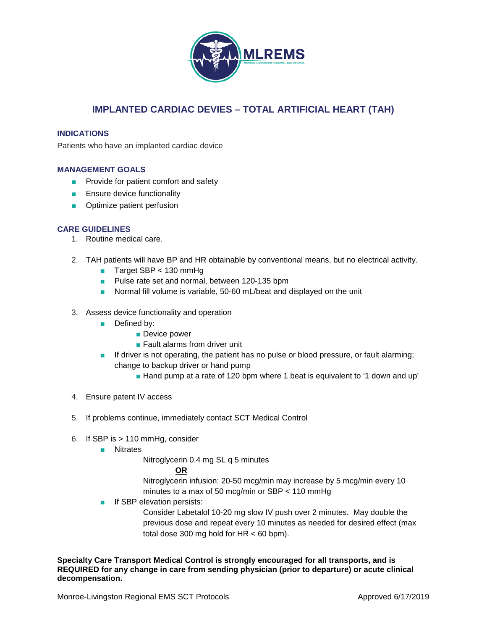

# **IMPLANTED CARDIAC DEVIES – TOTAL ARTIFICIAL HEART (TAH)**

## **INDICATIONS**

Patients who have an implanted cardiac device

## **MANAGEMENT GOALS**

- Provide for patient comfort and safety
- Ensure device functionality
- Optimize patient perfusion

## **CARE GUIDELINES**

- 1. Routine medical care.
- 2. TAH patients will have BP and HR obtainable by conventional means, but no electrical activity.
	- Target SBP < 130 mmHg
	- Pulse rate set and normal, between 120-135 bpm
	- Normal fill volume is variable, 50-60 mL/beat and displayed on the unit
- 3. Assess device functionality and operation
	- Defined by:
		- Device power
		- Fault alarms from driver unit
	- If driver is not operating, the patient has no pulse or blood pressure, or fault alarming; change to backup driver or hand pump
		- Hand pump at a rate of 120 bpm where 1 beat is equivalent to '1 down and up'
- 4. Ensure patent IV access
- 5. If problems continue, immediately contact SCT Medical Control
- 6. If SBP is > 110 mmHg, consider
	- Nitrates

Nitroglycerin 0.4 mg SL q 5 minutes

# **OR**

Nitroglycerin infusion: 20-50 mcg/min may increase by 5 mcg/min every 10 minutes to a max of 50 mcg/min or SBP < 110 mmHg

■ If SBP elevation persists:

Consider Labetalol 10-20 mg slow IV push over 2 minutes. May double the previous dose and repeat every 10 minutes as needed for desired effect (max total dose 300 mg hold for  $HR < 60$  bpm).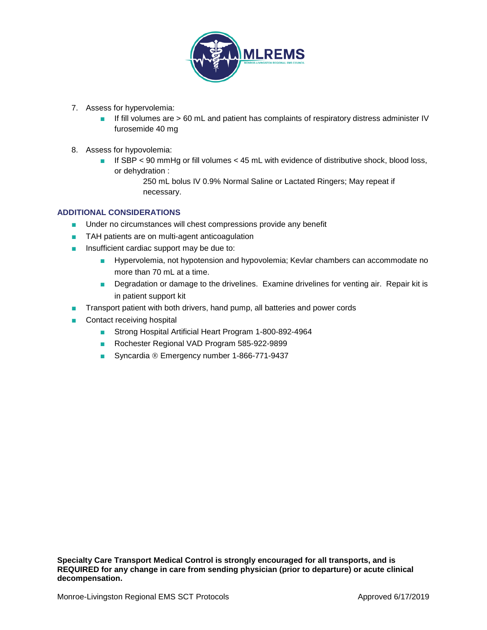

- 7. Assess for hypervolemia:
	- If fill volumes are > 60 mL and patient has complaints of respiratory distress administer IV furosemide 40 mg
- 8. Assess for hypovolemia:
	- If SBP < 90 mmHg or fill volumes < 45 mL with evidence of distributive shock, blood loss, or dehydration :

250 mL bolus IV 0.9% Normal Saline or Lactated Ringers; May repeat if necessary.

# **ADDITIONAL CONSIDERATIONS**

- Under no circumstances will chest compressions provide any benefit
- TAH patients are on multi-agent anticoagulation
- Insufficient cardiac support may be due to:
	- Hypervolemia, not hypotension and hypovolemia; Kevlar chambers can accommodate no more than 70 mL at a time.
	- Degradation or damage to the drivelines. Examine drivelines for venting air. Repair kit is in patient support kit
- Transport patient with both drivers, hand pump, all batteries and power cords
- Contact receiving hospital
	- Strong Hospital Artificial Heart Program 1-800-892-4964
	- Rochester Regional VAD Program 585-922-9899
	- Syncardia ® Emergency number 1-866-771-9437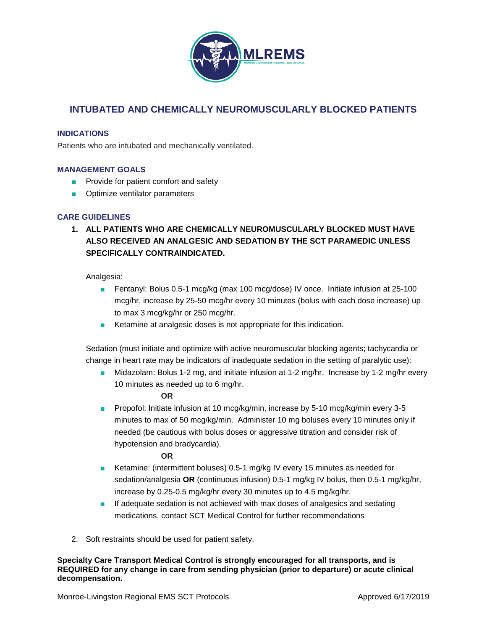

# **INTUBATED AND CHEMICALLY NEUROMUSCULARLY BLOCKED PATIENTS**

# **INDICATIONS**

Patients who are intubated and mechanically ventilated.

## **MANAGEMENT GOALS**

- Provide for patient comfort and safety
- Optimize ventilator parameters

## **CARE GUIDELINES**

**1. ALL PATIENTS WHO ARE CHEMICALLY NEUROMUSCULARLY BLOCKED MUST HAVE ALSO RECEIVED AN ANALGESIC AND SEDATION BY THE SCT PARAMEDIC UNLESS SPECIFICALLY CONTRAINDICATED.**

## Analgesia:

- Fentanyl: Bolus 0.5-1 mcg/kg (max 100 mcg/dose) IV once. Initiate infusion at 25-100 mcg/hr, increase by 25-50 mcg/hr every 10 minutes (bolus with each dose increase) up to max 3 mcg/kg/hr or 250 mcg/hr.
- Ketamine at analgesic doses is not appropriate for this indication.

Sedation (must initiate and optimize with active neuromuscular blocking agents; tachycardia or change in heart rate may be indicators of inadequate sedation in the setting of paralytic use):

■ Midazolam: Bolus 1-2 mg, and initiate infusion at 1-2 mg/hr. Increase by 1-2 mg/hr every 10 minutes as needed up to 6 mg/hr.

### **OR**

■ Propofol: Initiate infusion at 10 mcg/kg/min, increase by 5-10 mcg/kg/min every 3-5 minutes to max of 50 mcg/kg/min. Administer 10 mg boluses every 10 minutes only if needed (be cautious with bolus doses or aggressive titration and consider risk of hypotension and bradycardia).

## **OR**

- Ketamine: (intermittent boluses) 0.5-1 mg/kg IV every 15 minutes as needed for sedation/analgesia **OR** (continuous infusion) 0.5-1 mg/kg IV bolus, then 0.5-1 mg/kg/hr, increase by 0.25-0.5 mg/kg/hr every 30 minutes up to 4.5 mg/kg/hr.
- If adequate sedation is not achieved with max doses of analgesics and sedating medications, contact SCT Medical Control for further recommendations
- 2. Soft restraints should be used for patient safety.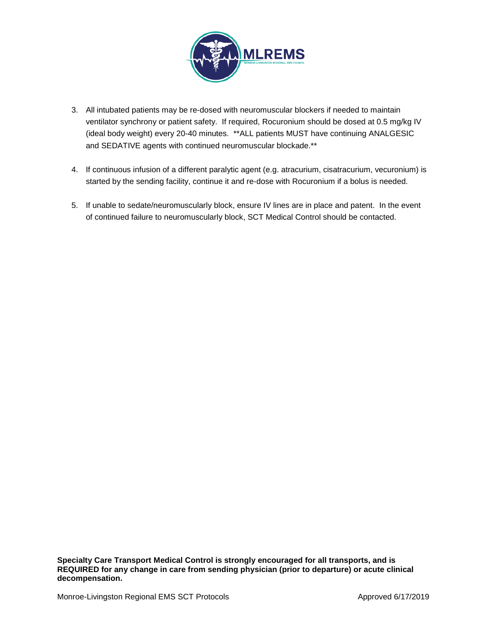

- 3. All intubated patients may be re-dosed with neuromuscular blockers if needed to maintain ventilator synchrony or patient safety. If required, Rocuronium should be dosed at 0.5 mg/kg IV (ideal body weight) every 20-40 minutes. \*\*ALL patients MUST have continuing ANALGESIC and SEDATIVE agents with continued neuromuscular blockade.\*\*
- 4. If continuous infusion of a different paralytic agent (e.g. atracurium, cisatracurium, vecuronium) is started by the sending facility, continue it and re-dose with Rocuronium if a bolus is needed.
- 5. If unable to sedate/neuromuscularly block, ensure IV lines are in place and patent. In the event of continued failure to neuromuscularly block, SCT Medical Control should be contacted.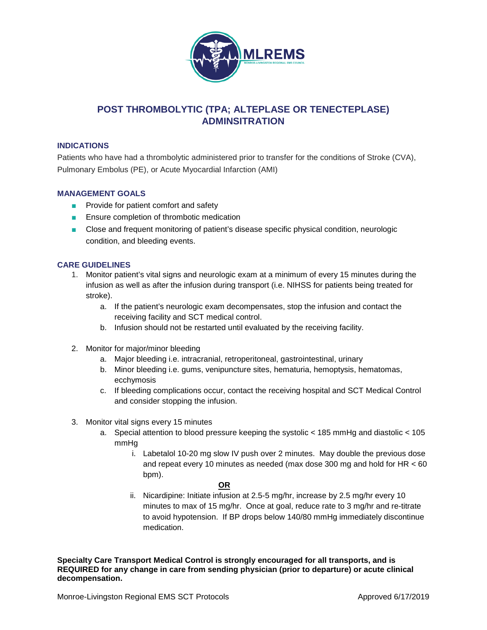

# **POST THROMBOLYTIC (TPA; ALTEPLASE OR TENECTEPLASE) ADMINSITRATION**

# **INDICATIONS**

Patients who have had a thrombolytic administered prior to transfer for the conditions of Stroke (CVA), Pulmonary Embolus (PE), or Acute Myocardial Infarction (AMI)

# **MANAGEMENT GOALS**

- Provide for patient comfort and safety
- Ensure completion of thrombotic medication
- Close and frequent monitoring of patient's disease specific physical condition, neurologic condition, and bleeding events.

## **CARE GUIDELINES**

- 1. Monitor patient's vital signs and neurologic exam at a minimum of every 15 minutes during the infusion as well as after the infusion during transport (i.e. NIHSS for patients being treated for stroke).
	- a. If the patient's neurologic exam decompensates, stop the infusion and contact the receiving facility and SCT medical control.
	- b. Infusion should not be restarted until evaluated by the receiving facility.
- 2. Monitor for major/minor bleeding
	- a. Major bleeding i.e. intracranial, retroperitoneal, gastrointestinal, urinary
	- b. Minor bleeding i.e. gums, venipuncture sites, hematuria, hemoptysis, hematomas, ecchymosis
	- c. If bleeding complications occur, contact the receiving hospital and SCT Medical Control and consider stopping the infusion.
- 3. Monitor vital signs every 15 minutes
	- a. Special attention to blood pressure keeping the systolic < 185 mmHg and diastolic < 105 mmHg
		- i. Labetalol 10-20 mg slow IV push over 2 minutes. May double the previous dose and repeat every 10 minutes as needed (max dose 300 mg and hold for  $HR < 60$ ) bpm).

### **OR**

ii. Nicardipine: Initiate infusion at 2.5-5 mg/hr, increase by 2.5 mg/hr every 10 minutes to max of 15 mg/hr. Once at goal, reduce rate to 3 mg/hr and re-titrate to avoid hypotension. If BP drops below 140/80 mmHg immediately discontinue medication.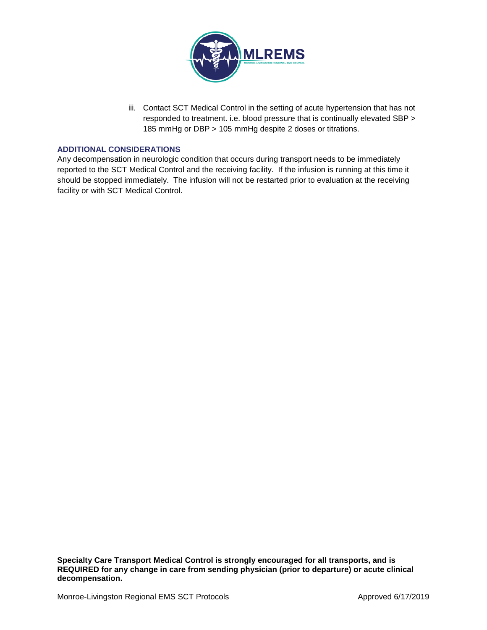

iii. Contact SCT Medical Control in the setting of acute hypertension that has not responded to treatment. i.e. blood pressure that is continually elevated SBP > 185 mmHg or DBP > 105 mmHg despite 2 doses or titrations.

## **ADDITIONAL CONSIDERATIONS**

Any decompensation in neurologic condition that occurs during transport needs to be immediately reported to the SCT Medical Control and the receiving facility. If the infusion is running at this time it should be stopped immediately. The infusion will not be restarted prior to evaluation at the receiving facility or with SCT Medical Control.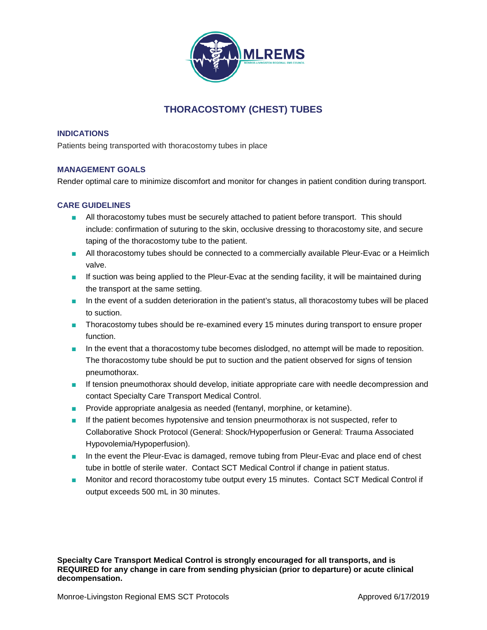

# **THORACOSTOMY (CHEST) TUBES**

## **INDICATIONS**

Patients being transported with thoracostomy tubes in place

# **MANAGEMENT GOALS**

Render optimal care to minimize discomfort and monitor for changes in patient condition during transport.

# **CARE GUIDELINES**

- All thoracostomy tubes must be securely attached to patient before transport. This should include: confirmation of suturing to the skin, occlusive dressing to thoracostomy site, and secure taping of the thoracostomy tube to the patient.
- All thoracostomy tubes should be connected to a commercially available Pleur-Evac or a Heimlich valve.
- If suction was being applied to the Pleur-Evac at the sending facility, it will be maintained during the transport at the same setting.
- In the event of a sudden deterioration in the patient's status, all thoracostomy tubes will be placed to suction.
- Thoracostomy tubes should be re-examined every 15 minutes during transport to ensure proper function.
- In the event that a thoracostomy tube becomes dislodged, no attempt will be made to reposition. The thoracostomy tube should be put to suction and the patient observed for signs of tension pneumothorax.
- If tension pneumothorax should develop, initiate appropriate care with needle decompression and contact Specialty Care Transport Medical Control.
- Provide appropriate analgesia as needed (fentanyl, morphine, or ketamine).
- If the patient becomes hypotensive and tension pneurmothorax is not suspected, refer to Collaborative Shock Protocol (General: Shock/Hypoperfusion or General: Trauma Associated Hypovolemia/Hypoperfusion).
- In the event the Pleur-Evac is damaged, remove tubing from Pleur-Evac and place end of chest tube in bottle of sterile water. Contact SCT Medical Control if change in patient status.
- Monitor and record thoracostomy tube output every 15 minutes. Contact SCT Medical Control if output exceeds 500 mL in 30 minutes.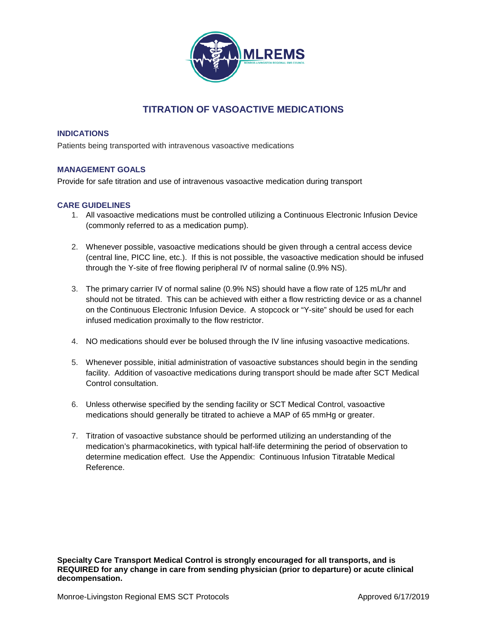

# **TITRATION OF VASOACTIVE MEDICATIONS**

# **INDICATIONS**

Patients being transported with intravenous vasoactive medications

# **MANAGEMENT GOALS**

Provide for safe titration and use of intravenous vasoactive medication during transport

# **CARE GUIDELINES**

- 1. All vasoactive medications must be controlled utilizing a Continuous Electronic Infusion Device (commonly referred to as a medication pump).
- 2. Whenever possible, vasoactive medications should be given through a central access device (central line, PICC line, etc.). If this is not possible, the vasoactive medication should be infused through the Y-site of free flowing peripheral IV of normal saline (0.9% NS).
- 3. The primary carrier IV of normal saline (0.9% NS) should have a flow rate of 125 mL/hr and should not be titrated. This can be achieved with either a flow restricting device or as a channel on the Continuous Electronic Infusion Device. A stopcock or "Y-site" should be used for each infused medication proximally to the flow restrictor.
- 4. NO medications should ever be bolused through the IV line infusing vasoactive medications.
- 5. Whenever possible, initial administration of vasoactive substances should begin in the sending facility. Addition of vasoactive medications during transport should be made after SCT Medical Control consultation.
- 6. Unless otherwise specified by the sending facility or SCT Medical Control, vasoactive medications should generally be titrated to achieve a MAP of 65 mmHg or greater.
- 7. Titration of vasoactive substance should be performed utilizing an understanding of the medication's pharmacokinetics, with typical half-life determining the period of observation to determine medication effect. Use the Appendix: Continuous Infusion Titratable Medical Reference.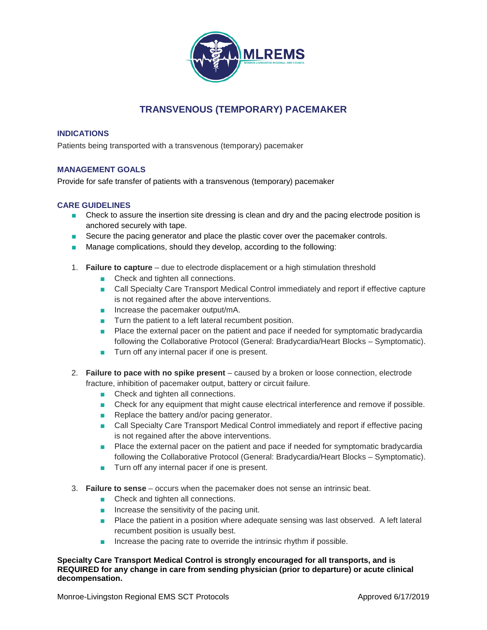

# **TRANSVENOUS (TEMPORARY) PACEMAKER**

## **INDICATIONS**

Patients being transported with a transvenous (temporary) pacemaker

# **MANAGEMENT GOALS**

Provide for safe transfer of patients with a transvenous (temporary) pacemaker

# **CARE GUIDELINES**

- Check to assure the insertion site dressing is clean and dry and the pacing electrode position is anchored securely with tape.
- Secure the pacing generator and place the plastic cover over the pacemaker controls.
- Manage complications, should they develop, according to the following:
- 1. **Failure to capture** due to electrode displacement or a high stimulation threshold
	- Check and tighten all connections.
	- Call Specialty Care Transport Medical Control immediately and report if effective capture is not regained after the above interventions.
	- Increase the pacemaker output/mA.
	- Turn the patient to a left lateral recumbent position.
	- Place the external pacer on the patient and pace if needed for symptomatic bradycardia following the Collaborative Protocol (General: Bradycardia/Heart Blocks – Symptomatic).
	- Turn off any internal pacer if one is present.
- 2. **Failure to pace with no spike present**  caused by a broken or loose connection, electrode fracture, inhibition of pacemaker output, battery or circuit failure.
	- Check and tighten all connections.
	- Check for any equipment that might cause electrical interference and remove if possible.
	- Replace the battery and/or pacing generator.
	- Call Specialty Care Transport Medical Control immediately and report if effective pacing is not regained after the above interventions.
	- Place the external pacer on the patient and pace if needed for symptomatic bradycardia following the Collaborative Protocol (General: Bradycardia/Heart Blocks – Symptomatic).
	- Turn off any internal pacer if one is present.
- 3. **Failure to sense** occurs when the pacemaker does not sense an intrinsic beat.
	- Check and tighten all connections.
	- Increase the sensitivity of the pacing unit.
	- Place the patient in a position where adequate sensing was last observed. A left lateral recumbent position is usually best.
	- Increase the pacing rate to override the intrinsic rhythm if possible.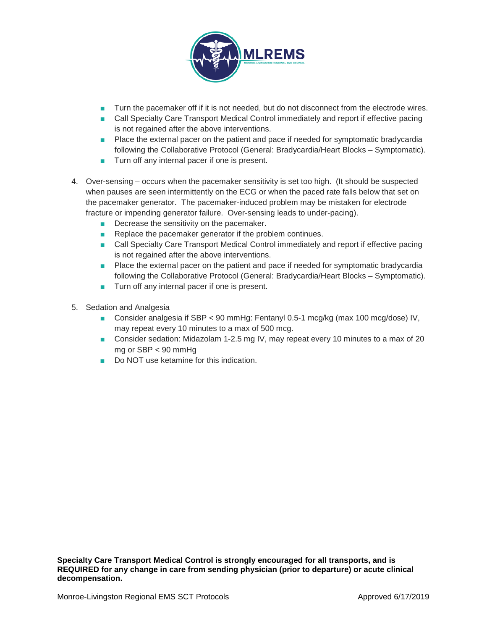

- Turn the pacemaker off if it is not needed, but do not disconnect from the electrode wires.
- Call Specialty Care Transport Medical Control immediately and report if effective pacing is not regained after the above interventions.
- Place the external pacer on the patient and pace if needed for symptomatic bradycardia following the Collaborative Protocol (General: Bradycardia/Heart Blocks – Symptomatic).
- Turn off any internal pacer if one is present.
- 4. Over-sensing occurs when the pacemaker sensitivity is set too high. (It should be suspected when pauses are seen intermittently on the ECG or when the paced rate falls below that set on the pacemaker generator. The pacemaker-induced problem may be mistaken for electrode fracture or impending generator failure. Over-sensing leads to under-pacing).
	- Decrease the sensitivity on the pacemaker.
	- Replace the pacemaker generator if the problem continues.
	- Call Specialty Care Transport Medical Control immediately and report if effective pacing is not regained after the above interventions.
	- Place the external pacer on the patient and pace if needed for symptomatic bradycardia following the Collaborative Protocol (General: Bradycardia/Heart Blocks – Symptomatic).
	- Turn off any internal pacer if one is present.
- 5. Sedation and Analgesia
	- Consider analgesia if SBP < 90 mmHg: Fentanyl 0.5-1 mcg/kg (max 100 mcg/dose) IV, may repeat every 10 minutes to a max of 500 mcg.
	- Consider sedation: Midazolam 1-2.5 mg IV, may repeat every 10 minutes to a max of 20 mg or SBP < 90 mmHg
	- Do NOT use ketamine for this indication.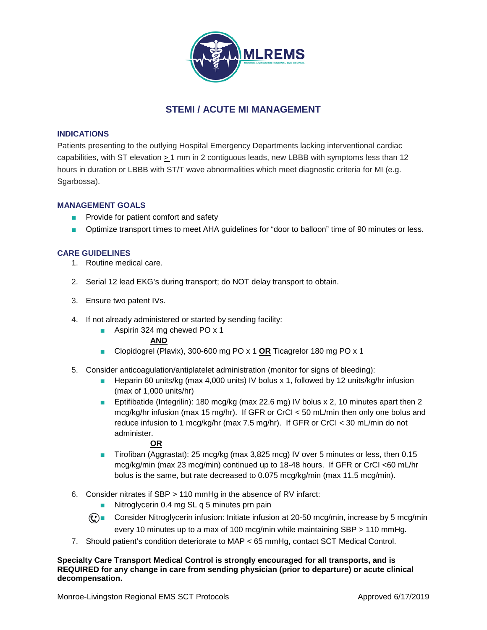

# **STEMI / ACUTE MI MANAGEMENT**

# **INDICATIONS**

Patients presenting to the outlying Hospital Emergency Departments lacking interventional cardiac capabilities, with ST elevation  $\geq 1$  mm in 2 contiguous leads, new LBBB with symptoms less than 12 hours in duration or LBBB with ST/T wave abnormalities which meet diagnostic criteria for MI (e.g. Sgarbossa).

# **MANAGEMENT GOALS**

- Provide for patient comfort and safety
- Optimize transport times to meet AHA guidelines for "door to balloon" time of 90 minutes or less.

## **CARE GUIDELINES**

- 1. Routine medical care.
- 2. Serial 12 lead EKG's during transport; do NOT delay transport to obtain.
- 3. Ensure two patent IVs.
- 4. If not already administered or started by sending facility:
	- Aspirin 324 mg chewed PO x 1

### **AND**

- Clopidogrel (Plavix), 300-600 mg PO x 1 **OR** Ticagrelor 180 mg PO x 1
- 5. Consider anticoagulation/antiplatelet administration (monitor for signs of bleeding):
	- Heparin 60 units/kg (max 4,000 units) IV bolus x 1, followed by 12 units/kg/hr infusion (max of 1,000 units/hr)
	- Eptifibatide (Integrilin): 180 mcg/kg (max 22.6 mg) IV bolus x 2, 10 minutes apart then 2 mcg/kg/hr infusion (max 15 mg/hr). If GFR or CrCI < 50 mL/min then only one bolus and reduce infusion to 1 mcg/kg/hr (max 7.5 mg/hr). If GFR or CrCI < 30 mL/min do not administer.

### **OR**

- Tirofiban (Aggrastat): 25 mcg/kg (max 3,825 mcg) IV over 5 minutes or less, then 0.15 mcg/kg/min (max 23 mcg/min) continued up to 18-48 hours. If GFR or CrCI <60 mL/hr bolus is the same, but rate decreased to 0.075 mcg/kg/min (max 11.5 mcg/min).
- 6. Consider nitrates if SBP > 110 mmHg in the absence of RV infarct:
	- Nitroglycerin 0.4 mg SL q 5 minutes prn pain
	- $\mathbb{C}$  Consider Nitroglycerin infusion: Initiate infusion at 20-50 mcg/min, increase by 5 mcg/min every 10 minutes up to a max of 100 mcg/min while maintaining SBP > 110 mmHg.
- 7. Should patient's condition deteriorate to MAP < 65 mmHg, contact SCT Medical Control.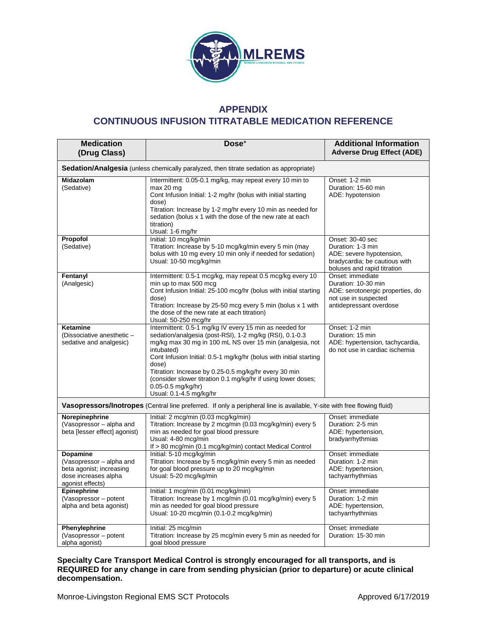

# **APPENDIX CONTINUOUS INFUSION TITRATABLE MEDICATION REFERENCE**

| <b>Medication</b><br>(Drug Class)                                                                                       | Dose <sup>+</sup>                                                                                                                                                                                                                                                                                                                                                                                                                                          | <b>Additional Information</b><br><b>Adverse Drug Effect (ADE)</b>                                                                 |  |  |  |  |
|-------------------------------------------------------------------------------------------------------------------------|------------------------------------------------------------------------------------------------------------------------------------------------------------------------------------------------------------------------------------------------------------------------------------------------------------------------------------------------------------------------------------------------------------------------------------------------------------|-----------------------------------------------------------------------------------------------------------------------------------|--|--|--|--|
| <b>Sedation/Analgesia</b> (unless chemically paralyzed, then titrate sedation as appropriate)                           |                                                                                                                                                                                                                                                                                                                                                                                                                                                            |                                                                                                                                   |  |  |  |  |
| <b>Midazolam</b><br>(Sedative)                                                                                          | Intermittent: 0.05-0.1 mg/kg, may repeat every 10 min to<br>max 20 mg<br>Cont Infusion Initial: 1-2 mg/hr (bolus with initial starting<br>dose)<br>Titration: Increase by 1-2 mg/hr every 10 min as needed for<br>sedation (bolus x 1 with the dose of the new rate at each<br>titration)<br>Usual: 1-6 mg/hr                                                                                                                                              | Onset: 1-2 min<br>Duration: 15-60 min<br>ADE: hypotension                                                                         |  |  |  |  |
| Propofol<br>(Sedative)                                                                                                  | Initial: 10 mcg/kg/min<br>Titration: Increase by 5-10 mcg/kg/min every 5 min (may<br>bolus with 10 mg every 10 min only if needed for sedation)<br>Usual: 10-50 mcg/kg/min                                                                                                                                                                                                                                                                                 | Onset: 30-40 sec<br>Duration: 1-3 min<br>ADE: severe hypotension,<br>bradycardia; be cautious with<br>boluses and rapid titration |  |  |  |  |
| Fentanyl<br>(Analgesic)                                                                                                 | Intermittent: 0.5-1 mcg/kg, may repeat 0.5 mcg/kg every 10<br>min up to max 500 mcg<br>Cont Infusion Initial: 25-100 mcg/hr (bolus with initial starting<br>dose)<br>Titration: Increase by 25-50 mcg every 5 min (bolus x 1 with<br>the dose of the new rate at each titration)<br>Usual: 50-250 mcg/hr                                                                                                                                                   | Onset: immediate<br>Duration: 10-30 min<br>ADE: serotonergic properties, do<br>not use in suspected<br>antidepressant overdose    |  |  |  |  |
| Ketamine<br>(Dissociative anesthetic -<br>sedative and analgesic)                                                       | Intermittent: 0.5-1 mg/kg IV every 15 min as needed for<br>sedation/analgesia (post-RSI), 1-2 mg/kg (RSI), 0.1-0.3<br>mg/kg max 30 mg in 100 mL NS over 15 min (analgesia, not<br>intubated)<br>Cont Infusion Initial: 0.5-1 mg/kg/hr (bolus with initial starting<br>dose)<br>Titration: Increase by 0.25-0.5 mg/kg/hr every 30 min<br>(consider slower titration 0.1 mg/kg/hr if using lower doses;<br>$0.05 - 0.5$ mg/kg/hr)<br>Usual: 0.1-4.5 mg/kg/hr | Onset: 1-2 min<br>Duration: 15 min<br>ADE: hypertension, tachycardia,<br>do not use in cardiac ischemia                           |  |  |  |  |
| Vasopressors/Inotropes (Central line preferred. If only a peripheral line is available, Y-site with free flowing fluid) |                                                                                                                                                                                                                                                                                                                                                                                                                                                            |                                                                                                                                   |  |  |  |  |
| Norepinephrine<br>(Vasopressor - alpha and<br>beta [lesser effect] agonist)                                             | Initial: 2 mcg/min (0.03 mcg/kg/min)<br>Titration: Increase by 2 mcg/min (0.03 mcg/kg/min) every 5<br>min as needed for goal blood pressure<br>Usual: 4-80 mcg/min<br>If > 80 mcg/min (0.1 mcg/kg/min) contact Medical Control                                                                                                                                                                                                                             | Onset: immediate<br>Duration: 2-5 min<br>ADE: hypertension,<br>bradyarrhythmias                                                   |  |  |  |  |
| Dopamine<br>(Vasopressor - alpha and<br>beta agonist; increasing<br>dose increases alpha<br>agonist effects)            | Initial: 5-10 mcg/kg/min<br>Titration: Increase by 5 mcg/kg/min every 5 min as needed<br>for goal blood pressure up to 20 mcg/kg/min<br>Usual: 5-20 mcg/kg/min                                                                                                                                                                                                                                                                                             | Onset: immediate<br>Duration: 1-2 min<br>ADE: hypertension,<br>tachyarrhythmias                                                   |  |  |  |  |
| Epinephrine<br>(Vasopressor – potent<br>alpha and beta agonist)                                                         | Initial: 1 mcg/min (0.01 mcg/kg/min)<br>Titration: Increase by 1 mcg/min (0.01 mcg/kg/min) every 5<br>min as needed for goal blood pressure<br>Usual: 10-20 mcg/min (0.1-0.2 mcg/kg/min)                                                                                                                                                                                                                                                                   | Onset: immediate<br>Duration: 1-2 min<br>ADE: hypertension,<br>tachyarrhythmias                                                   |  |  |  |  |
| Phenylephrine<br>(Vasopressor - potent<br>alpha agonist)                                                                | Initial: 25 mcg/min<br>Titration: Increase by 25 mcg/min every 5 min as needed for<br>goal blood pressure                                                                                                                                                                                                                                                                                                                                                  | Onset: immediate<br>Duration: 15-30 min                                                                                           |  |  |  |  |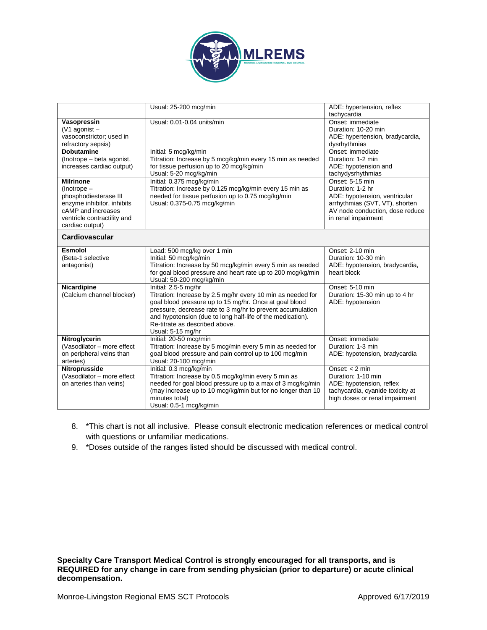

|                                                                                                                                                                     | Usual: 25-200 mcg/min                                                                                                                                                                                                                                                                                                            | ADE: hypertension, reflex<br>tachycardia                                                                                                                         |
|---------------------------------------------------------------------------------------------------------------------------------------------------------------------|----------------------------------------------------------------------------------------------------------------------------------------------------------------------------------------------------------------------------------------------------------------------------------------------------------------------------------|------------------------------------------------------------------------------------------------------------------------------------------------------------------|
| Vasopressin<br>$(V1$ agonist -<br>vasoconstrictor; used in<br>refractory sepsis)                                                                                    | Usual: 0.01-0.04 units/min                                                                                                                                                                                                                                                                                                       | Onset: immediate<br>Duration: 10-20 min<br>ADE: hypertension, bradycardia,<br>dysrhythmias                                                                       |
| <b>Dobutamine</b><br>(Inotrope - beta agonist,<br>increases cardiac output)                                                                                         | Initial: 5 mcg/kg/min<br>Titration: Increase by 5 mcg/kg/min every 15 min as needed<br>for tissue perfusion up to 20 mcg/kg/min<br>Usual: 5-20 mcg/kg/min                                                                                                                                                                        | Onset: immediate<br>Duration: 1-2 min<br>ADE: hypotension and<br>tachydysrhythmias                                                                               |
| <b>Milrinone</b><br>$($ lnotrope $-$<br>phosphodiesterase III<br>enzyme inhibitor, inhibits<br>cAMP and increases<br>ventricle contractility and<br>cardiac output) | Initial: 0.375 mcg/kg/min<br>Titration: Increase by 0.125 mcg/kg/min every 15 min as<br>needed for tissue perfusion up to 0.75 mcg/kg/min<br>Usual: 0.375-0.75 mcg/kg/min                                                                                                                                                        | Onset: 5-15 min<br>Duration: 1-2 hr<br>ADE: hypotension, ventricular<br>arrhythmias (SVT, VT), shorten<br>AV node conduction, dose reduce<br>in renal impairment |
| Cardiovascular                                                                                                                                                      |                                                                                                                                                                                                                                                                                                                                  |                                                                                                                                                                  |
| <b>Esmolol</b><br>(Beta-1 selective<br>antagonist)                                                                                                                  | Load: 500 mcg/kg over 1 min<br>Initial: 50 mcg/kg/min<br>Titration: Increase by 50 mcg/kg/min every 5 min as needed<br>for goal blood pressure and heart rate up to 200 mcg/kg/min<br>Usual: 50-200 mcg/kg/min                                                                                                                   | Onset: 2-10 min<br>Duration: 10-30 min<br>ADE: hypotension, bradycardia,<br>heart block                                                                          |
| Nicardipine<br>(Calcium channel blocker)                                                                                                                            | Initial: 2.5-5 mg/hr<br>Titration: Increase by 2.5 mg/hr every 10 min as needed for<br>goal blood pressure up to 15 mg/hr. Once at goal blood<br>pressure, decrease rate to 3 mg/hr to prevent accumulation<br>and hypotension (due to long half-life of the medication).<br>Re-titrate as described above.<br>Usual: 5-15 mg/hr | Onset: 5-10 min<br>Duration: 15-30 min up to 4 hr<br>ADE: hypotension                                                                                            |
| Nitroglycerin<br>(Vasodilator - more effect<br>on peripheral veins than<br>arteries)                                                                                | Initial: 20-50 mcg/min<br>Titration: Increase by 5 mcg/min every 5 min as needed for<br>goal blood pressure and pain control up to 100 mcg/min<br>Usual: 20-100 mcg/min                                                                                                                                                          | Onset: immediate<br>Duration: 1-3 min<br>ADE: hypotension, bradycardia                                                                                           |
| Nitroprusside<br>(Vasodilator - more effect<br>on arteries than veins)                                                                                              | Initial: 0.3 mcg/kg/min<br>Titration: Increase by 0.5 mcg/kg/min every 5 min as<br>needed for goal blood pressure up to a max of 3 mcg/kg/min<br>(may increase up to 10 mcg/kg/min but for no longer than 10<br>minutes total)<br>Usual: 0.5-1 mcg/kg/min                                                                        | Onset: $<$ 2 min<br>Duration: 1-10 min<br>ADE: hypotension, reflex<br>tachycardia, cyanide toxicity at<br>high doses or renal impairment                         |

- 8. \*This chart is not all inclusive. Please consult electronic medication references or medical control with questions or unfamiliar medications.
- 9. \*Doses outside of the ranges listed should be discussed with medical control.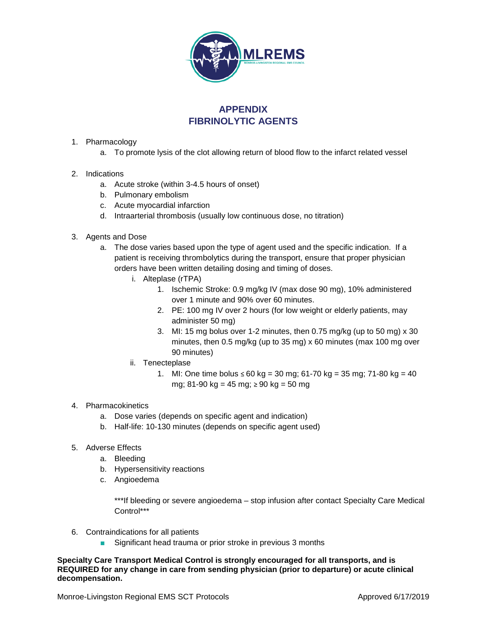

# **APPENDIX FIBRINOLYTIC AGENTS**

- 1. Pharmacology
	- a. To promote lysis of the clot allowing return of blood flow to the infarct related vessel
- 2. Indications
	- a. Acute stroke (within 3-4.5 hours of onset)
	- b. Pulmonary embolism
	- c. Acute myocardial infarction
	- d. Intraarterial thrombosis (usually low continuous dose, no titration)
- 3. Agents and Dose
	- a. The dose varies based upon the type of agent used and the specific indication. If a patient is receiving thrombolytics during the transport, ensure that proper physician orders have been written detailing dosing and timing of doses.
		- i. Alteplase (rTPA)
			- 1. Ischemic Stroke: 0.9 mg/kg IV (max dose 90 mg), 10% administered over 1 minute and 90% over 60 minutes.
			- 2. PE: 100 mg IV over 2 hours (for low weight or elderly patients, may administer 50 mg)
			- 3. MI: 15 mg bolus over 1-2 minutes, then 0.75 mg/kg (up to 50 mg) x 30 minutes, then 0.5 mg/kg (up to 35 mg) x 60 minutes (max 100 mg over 90 minutes)
		- ii. Tenecteplase
			- 1. MI: One time bolus ≤ 60 kg = 30 mg; 61-70 kg = 35 mg; 71-80 kg = 40 mg; 81-90 kg = 45 mg; ≥ 90 kg = 50 mg
- 4. Pharmacokinetics
	- a. Dose varies (depends on specific agent and indication)
	- b. Half-life: 10-130 minutes (depends on specific agent used)
- 5. Adverse Effects
	- a. Bleeding
	- b. Hypersensitivity reactions
	- c. Angioedema

\*\*\*If bleeding or severe angioedema – stop infusion after contact Specialty Care Medical Control\*\*\*

- 6. Contraindications for all patients
	- Significant head trauma or prior stroke in previous 3 months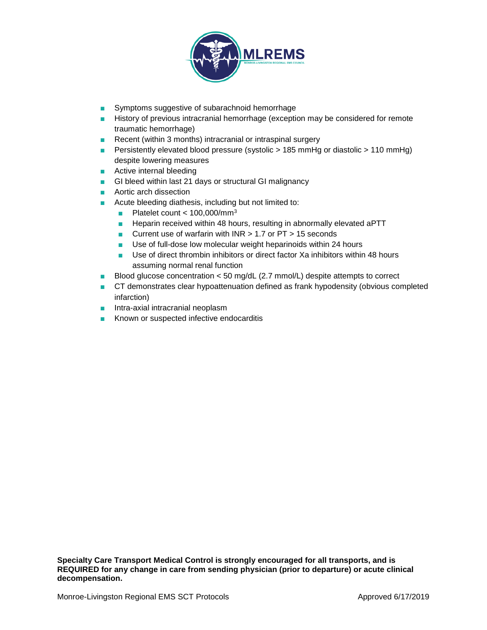

- Symptoms suggestive of subarachnoid hemorrhage
- History of previous intracranial hemorrhage (exception may be considered for remote traumatic hemorrhage)
- Recent (within 3 months) intracranial or intraspinal surgery
- Persistently elevated blood pressure (systolic > 185 mmHg or diastolic > 110 mmHg) despite lowering measures
- Active internal bleeding
- GI bleed within last 21 days or structural GI malignancy
- Aortic arch dissection
- Acute bleeding diathesis, including but not limited to:
	- Platelet count < 100,000/mm<sup>3</sup>
	- Heparin received within 48 hours, resulting in abnormally elevated aPTT
	- Current use of warfarin with INR > 1.7 or PT > 15 seconds
	- Use of full-dose low molecular weight heparinoids within 24 hours
	- Use of direct thrombin inhibitors or direct factor Xa inhibitors within 48 hours assuming normal renal function
- Blood glucose concentration < 50 mg/dL (2.7 mmol/L) despite attempts to correct
- CT demonstrates clear hypoattenuation defined as frank hypodensity (obvious completed infarction)
- Intra-axial intracranial neoplasm
- Known or suspected infective endocarditis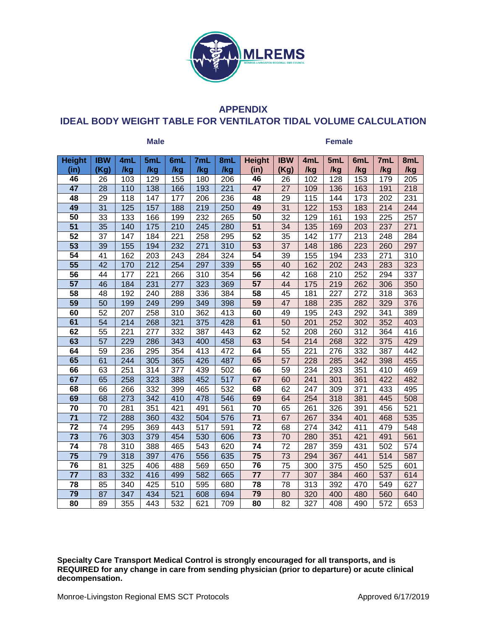

# **APPENDIX IDEAL BODY WEIGHT TABLE FOR VENTILATOR TIDAL VOLUME CALCULATION**

| <b>Male</b>     |                 |     |                  |     |                  | <b>Female</b>    |                 |                 |                  |     |     |     |     |
|-----------------|-----------------|-----|------------------|-----|------------------|------------------|-----------------|-----------------|------------------|-----|-----|-----|-----|
| <b>Height</b>   | <b>IBW</b>      | 4mL | 5mL              | 6mL | 7mL              | 8mL              | <b>Height</b>   | <b>IBW</b>      | 4mL              | 5mL | 6mL | 7mL | 8mL |
| (in)            | (Kg)            | /kg | /kg              | /kg | /kg              | /kg              | (in)            | (Kg)            | /kg              | /kg | /kg | /kg | /kg |
| 46              | 26              | 103 | 129              | 155 | 180              | 206              | 46              | 26              | 102              | 128 | 153 | 179 | 205 |
| $\overline{47}$ | 28              | 110 | 138              | 166 | 193              | 221              | $\overline{47}$ | 27              | 109              | 136 | 163 | 191 | 218 |
| 48              | 29              | 118 | 147              | 177 | 206              | 236              | 48              | 29              | 115              | 144 | 173 | 202 | 231 |
| 49              | $\overline{31}$ | 125 | 157              | 188 | 219              | 250              | 49              | 31              | 122              | 153 | 183 | 214 | 244 |
| $\overline{50}$ | $\overline{33}$ | 133 | 166              | 199 | 232              | 265              | 50              | $\overline{32}$ | 129              | 161 | 193 | 225 | 257 |
| $\overline{51}$ | $\overline{35}$ | 140 | 175              | 210 | 245              | 280              | $\overline{51}$ | 34              | 135              | 169 | 203 | 237 | 271 |
| $\overline{52}$ | 37              | 147 | 184              | 221 | 258              | 295              | 52              | 35              | 142              | 177 | 213 | 248 | 284 |
| $\overline{53}$ | 39              | 155 | 194              | 232 | 271              | 310              | 53              | 37              | 148              | 186 | 223 | 260 | 297 |
| $\overline{54}$ | 41              | 162 | 203              | 243 | 284              | 324              | 54              | 39              | 155              | 194 | 233 | 271 | 310 |
| $\overline{55}$ | 42              | 170 | $\overline{212}$ | 254 | 297              | 339              | $\overline{55}$ | 40              | 162              | 202 | 243 | 283 | 323 |
| $\overline{56}$ | 44              | 177 | 221              | 266 | 310              | 354              | 56              | 42              | 168              | 210 | 252 | 294 | 337 |
| $\overline{57}$ | 46              | 184 | 231              | 277 | 323              | 369              | 57              | 44              | 175              | 219 | 262 | 306 | 350 |
| 58              | 48              | 192 | 240              | 288 | 336              | 384              | 58              | 45              | 181              | 227 | 272 | 318 | 363 |
| 59              | 50              | 199 | 249              | 299 | 349              | 398              | 59              | 47              | 188              | 235 | 282 | 329 | 376 |
| 60              | $\overline{52}$ | 207 | 258              | 310 | 362              | 413              | 60              | 49              | 195              | 243 | 292 | 341 | 389 |
| 61              | $\overline{54}$ | 214 | 268              | 321 | 375              | 428              | 61              | 50              | $\overline{201}$ | 252 | 302 | 352 | 403 |
| 62              | 55              | 221 | 277              | 332 | 387              | 443              | 62              | 52              | 208              | 260 | 312 | 364 | 416 |
| 63              | $\overline{57}$ | 229 | 286              | 343 | 400              | 458              | 63              | 54              | 214              | 268 | 322 | 375 | 429 |
| 64              | 59              | 236 | 295              | 354 | 413              | 472              | 64              | 55              | $\overline{221}$ | 276 | 332 | 387 | 442 |
| 65              | 61              | 244 | 305              | 365 | 426              | 487              | 65              | 57              | 228              | 285 | 342 | 398 | 455 |
| 66              | 63              | 251 | $\overline{314}$ | 377 | 439              | 502              | 66              | 59              | 234              | 293 | 351 | 410 | 469 |
| 67              | 65              | 258 | 323              | 388 | 452              | $\overline{517}$ | 67              | 60              | 241              | 301 | 361 | 422 | 482 |
| 68              | 66              | 266 | 332              | 399 | 465              | 532              | 68              | 62              | 247              | 309 | 371 | 433 | 495 |
| 69              | 68              | 273 | $\overline{342}$ | 410 | 478              | 546              | 69              | 64              | 254              | 318 | 381 | 445 | 508 |
| $\overline{70}$ | 70              | 281 | 351              | 421 | 491              | 561              | $\overline{70}$ | 65              | 261              | 326 | 391 | 456 | 521 |
| $\overline{71}$ | $\overline{72}$ | 288 | 360              | 432 | $\overline{504}$ | 576              | $\overline{71}$ | 67              | 267              | 334 | 401 | 468 | 535 |
| $\overline{72}$ | 74              | 295 | 369              | 443 | 517              | 591              | 72              | 68              | 274              | 342 | 411 | 479 | 548 |
| 73              | 76              | 303 | 379              | 454 | 530              | 606              | 73              | 70              | 280              | 351 | 421 | 491 | 561 |
| 74              | 78              | 310 | 388              | 465 | 543              | 620              | 74              | 72              | 287              | 359 | 431 | 502 | 574 |
| 75              | 79              | 318 | 397              | 476 | 556              | 635              | 75              | 73              | 294              | 367 | 441 | 514 | 587 |
| 76              | 81              | 325 | 406              | 488 | 569              | 650              | 76              | 75              | 300              | 375 | 450 | 525 | 601 |
| 77              | 83              | 332 | 416              | 499 | 582              | 665              | 77              | 77              | 307              | 384 | 460 | 537 | 614 |
| 78              | 85              | 340 | 425              | 510 | 595              | 680              | 78              | 78              | 313              | 392 | 470 | 549 | 627 |
| 79              | 87              | 347 | 434              | 521 | 608              | 694              | 79              | 80              | 320              | 400 | 480 | 560 | 640 |
| 80              | 89              | 355 | 443              | 532 | 621              | 709              | 80              | 82              | 327              | 408 | 490 | 572 | 653 |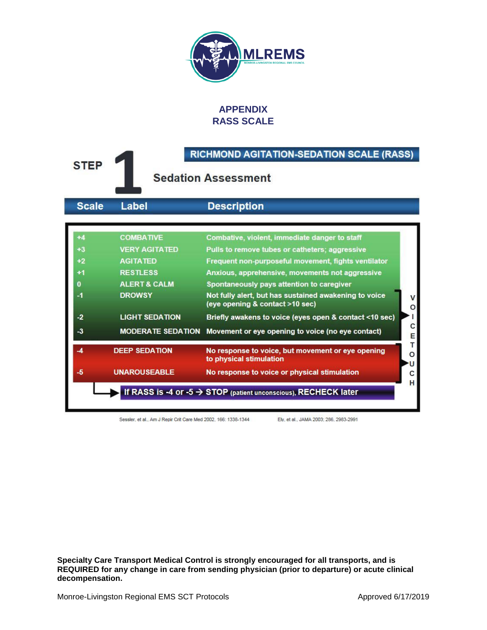

# **APPENDIX RASS SCALE**

| <b>STEP</b>                                             |                                                                                                                                                                                 | <b>RICHMOND AGITATION-SEDATION SCALE (RASS)</b><br><b>Sedation Assessment</b>                                                                                                                                                                                                                                                                                                                                                                                                    |
|---------------------------------------------------------|---------------------------------------------------------------------------------------------------------------------------------------------------------------------------------|----------------------------------------------------------------------------------------------------------------------------------------------------------------------------------------------------------------------------------------------------------------------------------------------------------------------------------------------------------------------------------------------------------------------------------------------------------------------------------|
| <b>Scale</b>                                            | <b>Label</b>                                                                                                                                                                    | <b>Description</b>                                                                                                                                                                                                                                                                                                                                                                                                                                                               |
| $+4$<br>$+3$<br>$+2$<br>$+1$<br>0<br>$-1$<br>$-2$<br>-3 | <b>COMBATIVE</b><br><b>VERY AGITATED</b><br><b>AGITATED</b><br><b>RESTLESS</b><br><b>ALERT &amp; CALM</b><br><b>DROWSY</b><br><b>LIGHT SEDATION</b><br><b>MODERATE SEDATION</b> | Combative, violent, immediate danger to staff<br>Pulls to remove tubes or catheters; aggressive<br>Frequent non-purposeful movement, fights ventilator<br>Anxious, apprehensive, movements not aggressive<br>Spontaneously pays attention to caregiver<br>Not fully alert, but has sustained awakening to voice<br>(eye opening & contact >10 sec)<br>o<br>Briefly awakens to voice (eyes open & contact <10 sec)<br>с<br>Movement or eye opening to voice (no eye contact)<br>E |
| -5                                                      | <b>DEEP SEDATION</b><br><b>UNAROUSEABLE</b>                                                                                                                                     | т<br>No response to voice, but movement or eye opening<br>o<br>to physical stimulation<br>No response to voice or physical stimulation<br>с<br>н<br>If RASS is -4 or -5 $\rightarrow$ STOP (patient unconscious), RECHECK later                                                                                                                                                                                                                                                  |

Sessler, et al., Am J Repir Crit Care Med 2002, 166: 1338-1344

Ely, et al., JAMA 2003; 286, 2983-2991